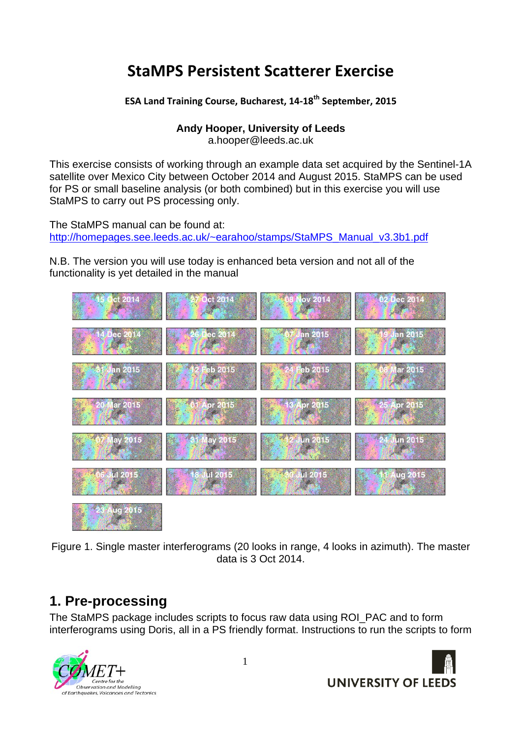# **StaMPS Persistent Scatterer Exercise**

**ESA Land Training Course, Bucharest, 14-18<sup>th</sup> September, 2015** 

**Andy Hooper, University of Leeds** 

a.hooper@leeds.ac.uk

This exercise consists of working through an example data set acquired by the Sentinel-1A satellite over Mexico City between October 2014 and August 2015. StaMPS can be used for PS or small baseline analysis (or both combined) but in this exercise you will use StaMPS to carry out PS processing only.

The StaMPS manual can be found at: http://homepages.see.leeds.ac.uk/~earahoo/stamps/StaMPS\_Manual\_v3.3b1.pdf

N.B. The version you will use today is enhanced beta version and not all of the functionality is yet detailed in the manual



Figure 1. Single master interferograms (20 looks in range, 4 looks in azimuth). The master data is 3 Oct 2014.

# **1. Pre-processing**

The StaMPS package includes scripts to focus raw data using ROI\_PAC and to form interferograms using Doris, all in a PS friendly format. Instructions to run the scripts to form





1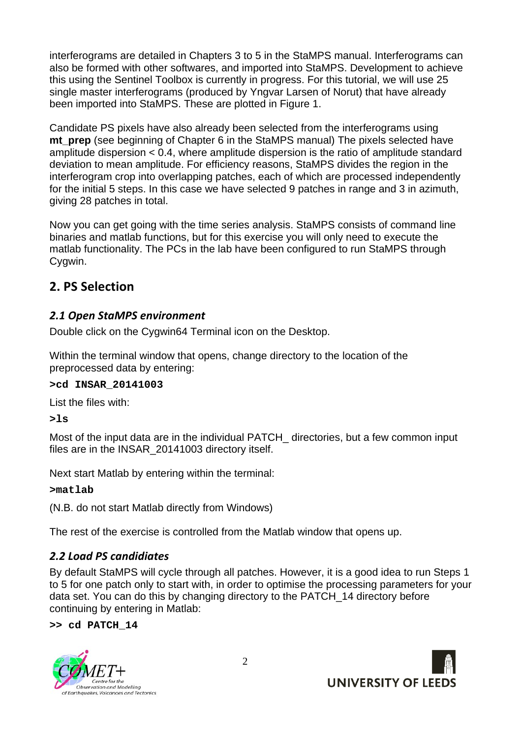interferograms are detailed in Chapters 3 to 5 in the StaMPS manual. Interferograms can also be formed with other softwares, and imported into StaMPS. Development to achieve this using the Sentinel Toolbox is currently in progress. For this tutorial, we will use 25 single master interferograms (produced by Yngvar Larsen of Norut) that have already been imported into StaMPS. These are plotted in Figure 1.

Candidate PS pixels have also already been selected from the interferograms using **mt prep** (see beginning of Chapter 6 in the StaMPS manual) The pixels selected have amplitude dispersion < 0.4, where amplitude dispersion is the ratio of amplitude standard deviation to mean amplitude. For efficiency reasons, StaMPS divides the region in the interferogram crop into overlapping patches, each of which are processed independently for the initial 5 steps. In this case we have selected 9 patches in range and 3 in azimuth, giving 28 patches in total.

Now you can get going with the time series analysis. StaMPS consists of command line binaries and matlab functions, but for this exercise you will only need to execute the matlab functionality. The PCs in the lab have been configured to run StaMPS through Cygwin.

## **2. PS Selection**

### **2.1 Open StaMPS environment**

Double click on the Cygwin64 Terminal icon on the Desktop.

Within the terminal window that opens, change directory to the location of the preprocessed data by entering:

#### **>cd INSAR\_20141003**

List the files with:

**>ls** 

Most of the input data are in the individual PATCH directories, but a few common input files are in the INSAR\_20141003 directory itself.

Next start Matlab by entering within the terminal:

**>matlab** 

(N.B. do not start Matlab directly from Windows)

The rest of the exercise is controlled from the Matlab window that opens up.

## **2.2 Load PS candidiates**

By default StaMPS will cycle through all patches. However, it is a good idea to run Steps 1 to 5 for one patch only to start with, in order to optimise the processing parameters for your data set. You can do this by changing directory to the PATCH\_14 directory before continuing by entering in Matlab:

**>> cd PATCH\_14** 



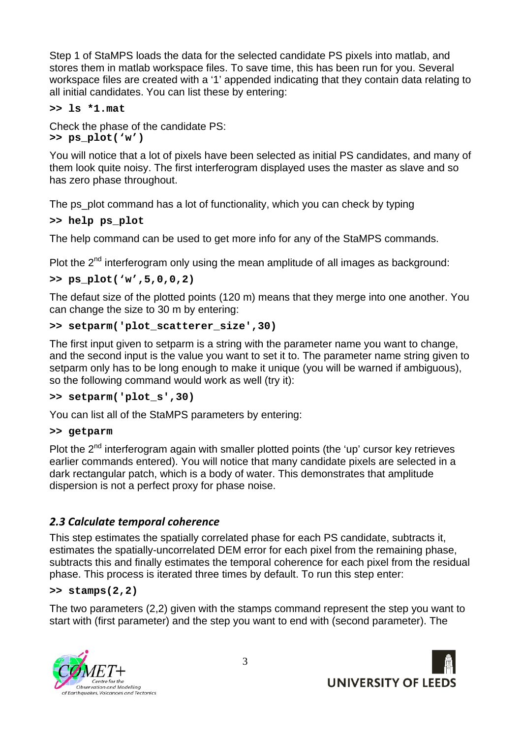Step 1 of StaMPS loads the data for the selected candidate PS pixels into matlab, and stores them in matlab workspace files. To save time, this has been run for you. Several workspace files are created with a '1' appended indicating that they contain data relating to all initial candidates. You can list these by entering:

#### **>> ls \*1.mat**

Check the phase of the candidate PS: **>> ps\_plot('w')** 

You will notice that a lot of pixels have been selected as initial PS candidates, and many of them look quite noisy. The first interferogram displayed uses the master as slave and so has zero phase throughout.

The ps\_plot command has a lot of functionality, which you can check by typing

#### **>> help ps\_plot**

The help command can be used to get more info for any of the StaMPS commands.

Plot the  $2<sup>nd</sup>$  interferogram only using the mean amplitude of all images as background:

**>> ps\_plot('w',5,0,0,2)** 

The defaut size of the plotted points (120 m) means that they merge into one another. You can change the size to 30 m by entering:

#### **>> setparm('plot\_scatterer\_size',30)**

The first input given to setparm is a string with the parameter name you want to change, and the second input is the value you want to set it to. The parameter name string given to setparm only has to be long enough to make it unique (you will be warned if ambiguous), so the following command would work as well (try it):

#### **>> setparm('plot\_s',30)**

You can list all of the StaMPS parameters by entering:

#### **>> getparm**

Plot the  $2<sup>nd</sup>$  interferogram again with smaller plotted points (the 'up' cursor key retrieves earlier commands entered). You will notice that many candidate pixels are selected in a dark rectangular patch, which is a body of water. This demonstrates that amplitude dispersion is not a perfect proxy for phase noise.

#### **2.3 Calculate temporal coherence**

This step estimates the spatially correlated phase for each PS candidate, subtracts it, estimates the spatially-uncorrelated DEM error for each pixel from the remaining phase, subtracts this and finally estimates the temporal coherence for each pixel from the residual phase. This process is iterated three times by default. To run this step enter:

#### **>> stamps(2,2)**

The two parameters (2,2) given with the stamps command represent the step you want to start with (first parameter) and the step you want to end with (second parameter). The



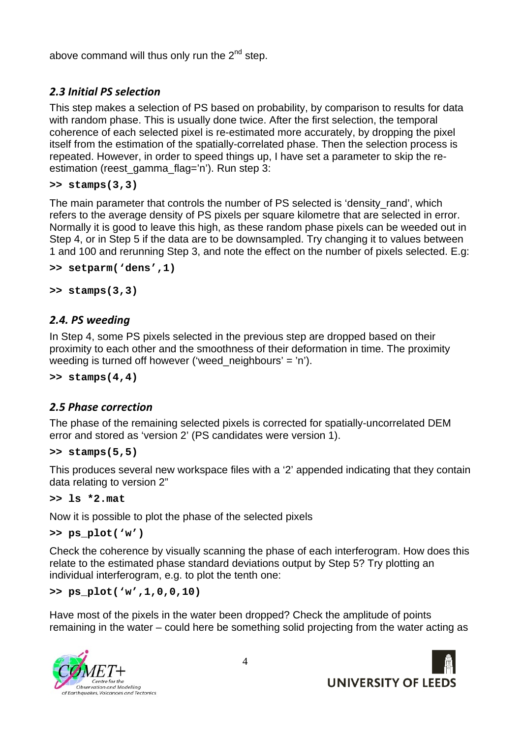above command will thus only run the  $2^{nd}$  step.

## **2.3 Initial PS selection**

This step makes a selection of PS based on probability, by comparison to results for data with random phase. This is usually done twice. After the first selection, the temporal coherence of each selected pixel is re-estimated more accurately, by dropping the pixel itself from the estimation of the spatially-correlated phase. Then the selection process is repeated. However, in order to speed things up, I have set a parameter to skip the reestimation (reest\_gamma\_flag='n'). Run step 3:

```
>> stamps(3,3)
```
The main parameter that controls the number of PS selected is 'density rand', which refers to the average density of PS pixels per square kilometre that are selected in error. Normally it is good to leave this high, as these random phase pixels can be weeded out in Step 4, or in Step 5 if the data are to be downsampled. Try changing it to values between 1 and 100 and rerunning Step 3, and note the effect on the number of pixels selected. E.g:

```
>> setparm('dens',1)
```

```
>> stamps(3,3)
```
## **2.4. PS weeding**

In Step 4, some PS pixels selected in the previous step are dropped based on their proximity to each other and the smoothness of their deformation in time. The proximity weeding is turned off however ('weed neighbours' = 'n').

```
>> stamps(4,4)
```
## **2.5 Phase correction**

The phase of the remaining selected pixels is corrected for spatially-uncorrelated DEM error and stored as 'version 2' (PS candidates were version 1).

```
>> stamps(5,5)
```
This produces several new workspace files with a '2' appended indicating that they contain data relating to version 2"

```
>> ls *2.mat
```
Now it is possible to plot the phase of the selected pixels

```
>> ps_plot('w')
```
Check the coherence by visually scanning the phase of each interferogram. How does this relate to the estimated phase standard deviations output by Step 5? Try plotting an individual interferogram, e.g. to plot the tenth one:

**>> ps\_plot('w',1,0,0,10)** 

Have most of the pixels in the water been dropped? Check the amplitude of points remaining in the water – could here be something solid projecting from the water acting as



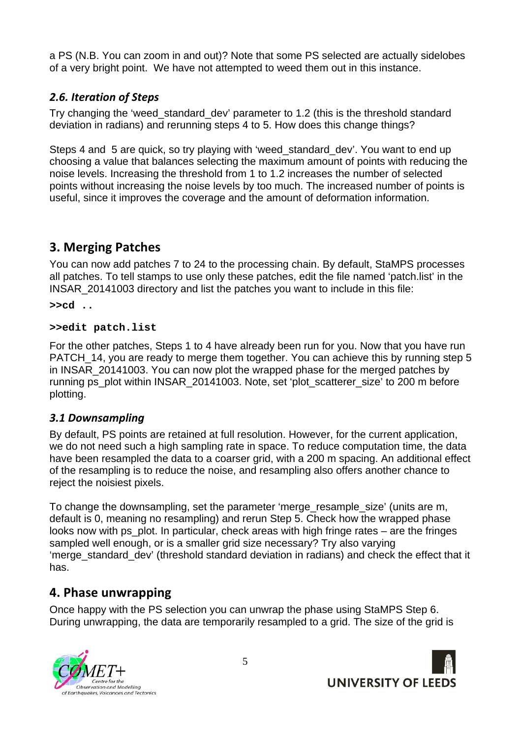a PS (N.B. You can zoom in and out)? Note that some PS selected are actually sidelobes of a very bright point. We have not attempted to weed them out in this instance.

### **2.6. Iteration of Steps**

Try changing the 'weed\_standard\_dev' parameter to 1.2 (this is the threshold standard deviation in radians) and rerunning steps 4 to 5. How does this change things?

Steps 4 and 5 are quick, so try playing with 'weed\_standard\_dev'. You want to end up choosing a value that balances selecting the maximum amount of points with reducing the noise levels. Increasing the threshold from 1 to 1.2 increases the number of selected points without increasing the noise levels by too much. The increased number of points is useful, since it improves the coverage and the amount of deformation information.

## **3. Merging Patches**

You can now add patches 7 to 24 to the processing chain. By default, StaMPS processes all patches. To tell stamps to use only these patches, edit the file named 'patch.list' in the INSAR\_20141003 directory and list the patches you want to include in this file:

**>>cd ..** 

#### **>>edit patch.list**

For the other patches, Steps 1 to 4 have already been run for you. Now that you have run PATCH 14, you are ready to merge them together. You can achieve this by running step 5 in INSAR\_20141003. You can now plot the wrapped phase for the merged patches by running ps\_plot within INSAR\_20141003. Note, set 'plot\_scatterer\_size' to 200 m before plotting.

### 3.1 Downsampling

By default, PS points are retained at full resolution. However, for the current application, we do not need such a high sampling rate in space. To reduce computation time, the data have been resampled the data to a coarser grid, with a 200 m spacing. An additional effect of the resampling is to reduce the noise, and resampling also offers another chance to reject the noisiest pixels.

To change the downsampling, set the parameter 'merge resample size' (units are m, default is 0, meaning no resampling) and rerun Step 5. Check how the wrapped phase looks now with ps plot. In particular, check areas with high fringe rates – are the fringes sampled well enough, or is a smaller grid size necessary? Try also varying 'merge\_standard\_dev' (threshold standard deviation in radians) and check the effect that it has.

### **4. Phase unwrapping**

Once happy with the PS selection you can unwrap the phase using StaMPS Step 6. During unwrapping, the data are temporarily resampled to a grid. The size of the grid is



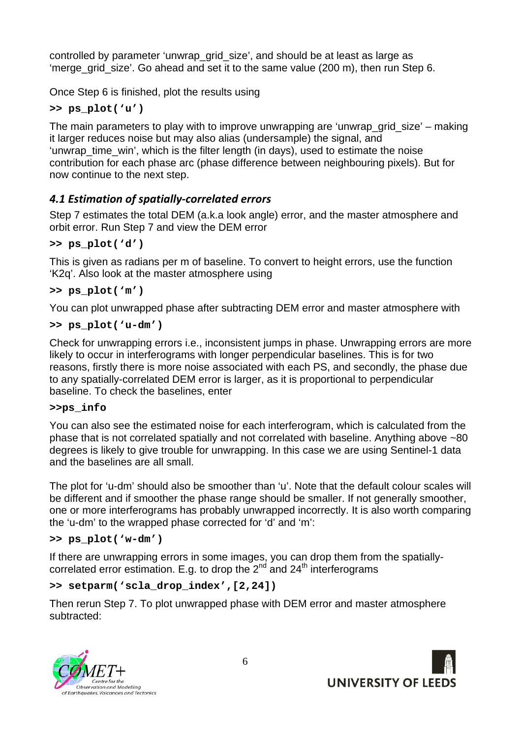controlled by parameter 'unwrap\_grid\_size', and should be at least as large as 'merge\_grid\_size'. Go ahead and set it to the same value (200 m), then run Step 6.

Once Step 6 is finished, plot the results using

**>> ps\_plot('u')** 

The main parameters to play with to improve unwrapping are 'unwrap\_grid\_size' – making it larger reduces noise but may also alias (undersample) the signal, and 'unwrap time win', which is the filter length (in days), used to estimate the noise contribution for each phase arc (phase difference between neighbouring pixels). But for now continue to the next step.

## **4.1 Estimation of spatially-correlated errors**

Step 7 estimates the total DEM (a.k.a look angle) error, and the master atmosphere and orbit error. Run Step 7 and view the DEM error

### **>> ps\_plot('d')**

This is given as radians per m of baseline. To convert to height errors, use the function 'K2q'. Also look at the master atmosphere using

### **>> ps\_plot('m')**

You can plot unwrapped phase after subtracting DEM error and master atmosphere with

### **>> ps\_plot('u-dm')**

Check for unwrapping errors i.e., inconsistent jumps in phase. Unwrapping errors are more likely to occur in interferograms with longer perpendicular baselines. This is for two reasons, firstly there is more noise associated with each PS, and secondly, the phase due to any spatially-correlated DEM error is larger, as it is proportional to perpendicular baseline. To check the baselines, enter

#### **>>ps\_info**

You can also see the estimated noise for each interferogram, which is calculated from the phase that is not correlated spatially and not correlated with baseline. Anything above ~80 degrees is likely to give trouble for unwrapping. In this case we are using Sentinel-1 data and the baselines are all small.

The plot for 'u-dm' should also be smoother than 'u'. Note that the default colour scales will be different and if smoother the phase range should be smaller. If not generally smoother, one or more interferograms has probably unwrapped incorrectly. It is also worth comparing the 'u-dm' to the wrapped phase corrected for 'd' and 'm':

### **>> ps\_plot('w-dm')**

If there are unwrapping errors in some images, you can drop them from the spatiallycorrelated error estimation. E.g. to drop the  $2^{nd}$  and  $24^{th}$  interferograms

### **>> setparm('scla\_drop\_index',[2,24])**

Then rerun Step 7. To plot unwrapped phase with DEM error and master atmosphere subtracted:



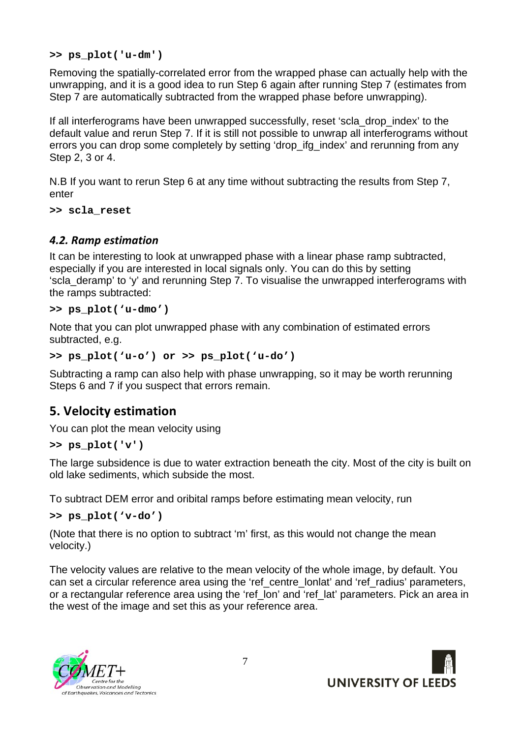**>> ps\_plot('u-dm')** 

Removing the spatially-correlated error from the wrapped phase can actually help with the unwrapping, and it is a good idea to run Step 6 again after running Step 7 (estimates from Step 7 are automatically subtracted from the wrapped phase before unwrapping).

If all interferograms have been unwrapped successfully, reset 'scla\_drop\_index' to the default value and rerun Step 7. If it is still not possible to unwrap all interferograms without errors you can drop some completely by setting 'drop\_ifg\_index' and rerunning from any Step 2, 3 or 4.

N.B If you want to rerun Step 6 at any time without subtracting the results from Step 7, enter

**>> scla\_reset** 

### **4.2. Ramp estimation**

It can be interesting to look at unwrapped phase with a linear phase ramp subtracted, especially if you are interested in local signals only. You can do this by setting 'scla\_deramp' to 'y' and rerunning Step 7. To visualise the unwrapped interferograms with the ramps subtracted:

#### **>> ps\_plot('u-dmo')**

Note that you can plot unwrapped phase with any combination of estimated errors subtracted, e.g.

#### **>> ps\_plot('u-o') or >> ps\_plot('u-do')**

Subtracting a ramp can also help with phase unwrapping, so it may be worth rerunning Steps 6 and 7 if you suspect that errors remain.

### **5. Velocity estimation**

You can plot the mean velocity using

#### **>> ps\_plot('v')**

The large subsidence is due to water extraction beneath the city. Most of the city is built on old lake sediments, which subside the most.

To subtract DEM error and oribital ramps before estimating mean velocity, run

#### **>> ps\_plot('v-do')**

(Note that there is no option to subtract 'm' first, as this would not change the mean velocity.)

The velocity values are relative to the mean velocity of the whole image, by default. You can set a circular reference area using the 'ref\_centre\_lonlat' and 'ref\_radius' parameters, or a rectangular reference area using the 'ref lon' and 'ref lat' parameters. Pick an area in the west of the image and set this as your reference area.